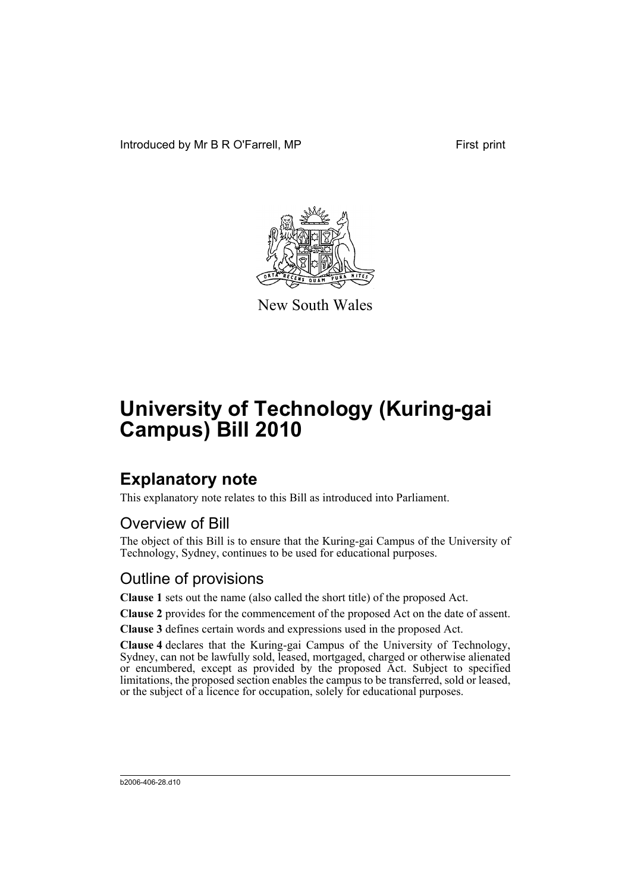Introduced by Mr B R O'Farrell, MP First print



New South Wales

# **University of Technology (Kuring-gai Campus) Bill 2010**

## **Explanatory note**

This explanatory note relates to this Bill as introduced into Parliament.

## Overview of Bill

The object of this Bill is to ensure that the Kuring-gai Campus of the University of Technology, Sydney, continues to be used for educational purposes.

### Outline of provisions

**Clause 1** sets out the name (also called the short title) of the proposed Act.

**Clause 2** provides for the commencement of the proposed Act on the date of assent.

**Clause 3** defines certain words and expressions used in the proposed Act.

**Clause 4** declares that the Kuring-gai Campus of the University of Technology, Sydney, can not be lawfully sold, leased, mortgaged, charged or otherwise alienated or encumbered, except as provided by the proposed Act. Subject to specified limitations, the proposed section enables the campus to be transferred, sold or leased, or the subject of a licence for occupation, solely for educational purposes.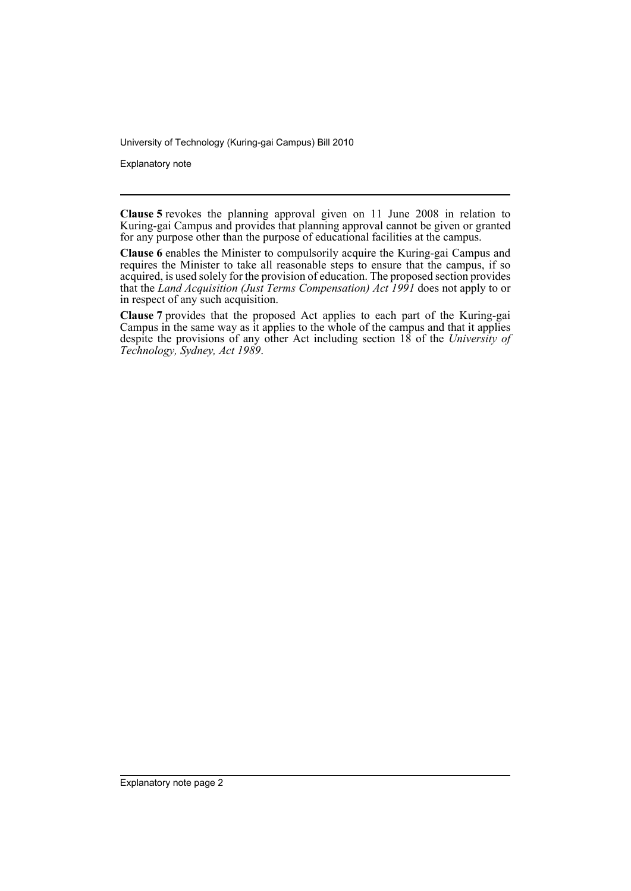University of Technology (Kuring-gai Campus) Bill 2010

Explanatory note

**Clause 5** revokes the planning approval given on 11 June 2008 in relation to Kuring-gai Campus and provides that planning approval cannot be given or granted for any purpose other than the purpose of educational facilities at the campus.

**Clause 6** enables the Minister to compulsorily acquire the Kuring-gai Campus and requires the Minister to take all reasonable steps to ensure that the campus, if so acquired, is used solely for the provision of education. The proposed section provides that the *Land Acquisition (Just Terms Compensation) Act 1991* does not apply to or in respect of any such acquisition.

**Clause 7** provides that the proposed Act applies to each part of the Kuring-gai Campus in the same way as it applies to the whole of the campus and that it applies despite the provisions of any other Act including section 18 of the *University of Technology, Sydney, Act 1989*.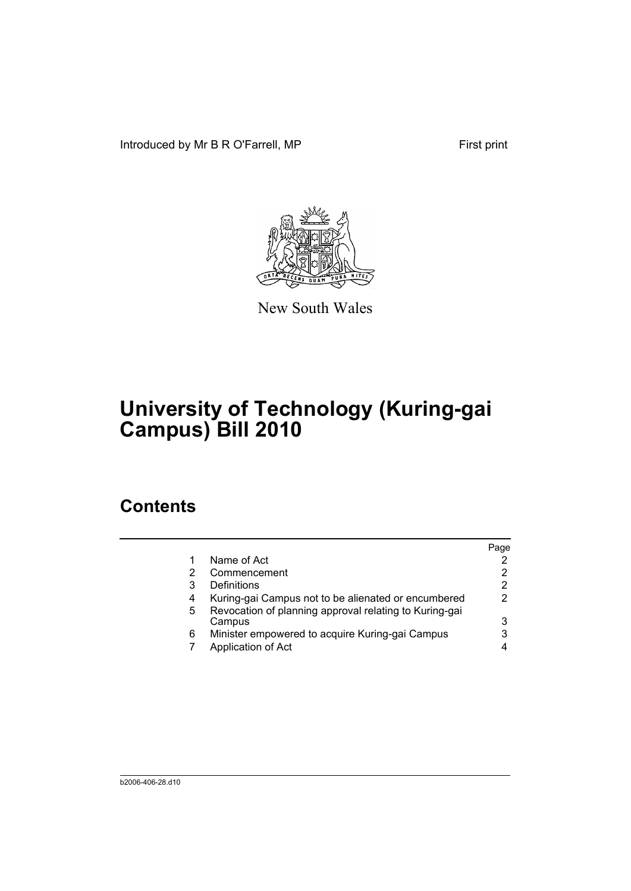Introduced by Mr B R O'Farrell, MP First print



New South Wales

# **University of Technology (Kuring-gai Campus) Bill 2010**

## **Contents**

|   |                                                                  | Page |
|---|------------------------------------------------------------------|------|
|   | Name of Act                                                      |      |
| 2 | Commencement                                                     |      |
| 3 | Definitions                                                      |      |
| 4 | Kuring-gai Campus not to be alienated or encumbered              |      |
| 5 | Revocation of planning approval relating to Kuring-gai<br>Campus | 3    |
| 6 | Minister empowered to acquire Kuring-gai Campus                  |      |
|   | Application of Act                                               |      |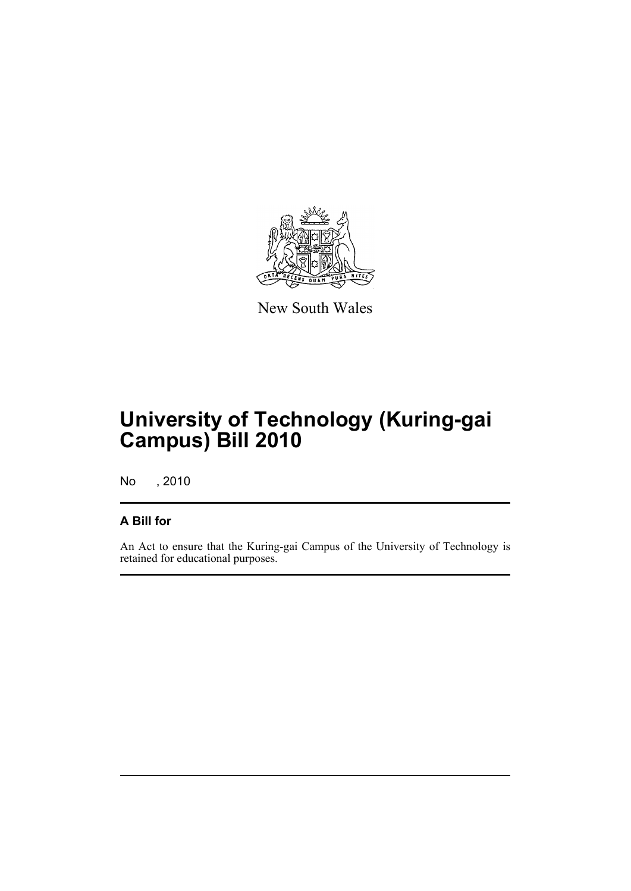

New South Wales

# **University of Technology (Kuring-gai Campus) Bill 2010**

No , 2010

#### **A Bill for**

An Act to ensure that the Kuring-gai Campus of the University of Technology is retained for educational purposes.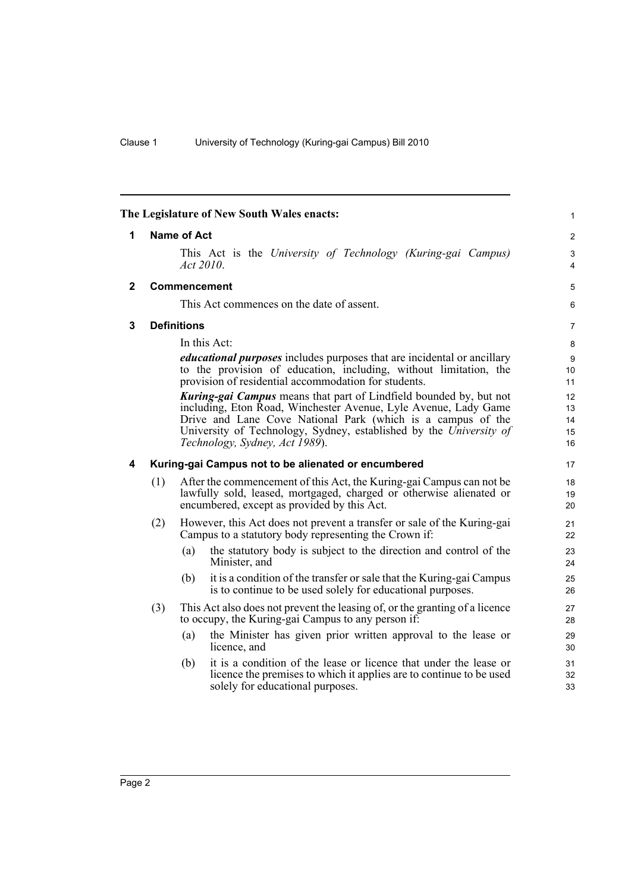<span id="page-5-3"></span><span id="page-5-2"></span><span id="page-5-1"></span><span id="page-5-0"></span>

|              |                    | The Legislature of New South Wales enacts:                                                                                                                                                                                                                                                                          | $\mathbf{1}$               |
|--------------|--------------------|---------------------------------------------------------------------------------------------------------------------------------------------------------------------------------------------------------------------------------------------------------------------------------------------------------------------|----------------------------|
| 1            |                    | <b>Name of Act</b>                                                                                                                                                                                                                                                                                                  | 2                          |
|              |                    | This Act is the University of Technology (Kuring-gai Campus)<br>Act 2010.                                                                                                                                                                                                                                           | 3<br>4                     |
| $\mathbf{2}$ |                    | <b>Commencement</b>                                                                                                                                                                                                                                                                                                 | $\mathbf 5$                |
|              |                    | This Act commences on the date of assent.                                                                                                                                                                                                                                                                           | 6                          |
| 3            | <b>Definitions</b> |                                                                                                                                                                                                                                                                                                                     |                            |
|              |                    | In this Act:                                                                                                                                                                                                                                                                                                        | 8                          |
|              |                    | educational purposes includes purposes that are incidental or ancillary<br>to the provision of education, including, without limitation, the<br>provision of residential accommodation for students.                                                                                                                | 9<br>10<br>11              |
|              |                    | <b>Kuring-gai Campus</b> means that part of Lindfield bounded by, but not<br>including, Eton Road, Winchester Avenue, Lyle Avenue, Lady Game<br>Drive and Lane Cove National Park (which is a campus of the<br>University of Technology, Sydney, established by the University of<br>Technology, Sydney, Act 1989). | 12<br>13<br>14<br>15<br>16 |
| 4            |                    | Kuring-gai Campus not to be alienated or encumbered                                                                                                                                                                                                                                                                 | 17                         |
|              | (1)                | After the commencement of this Act, the Kuring-gai Campus can not be<br>lawfully sold, leased, mortgaged, charged or otherwise alienated or<br>encumbered, except as provided by this Act.                                                                                                                          | 18<br>19<br>20             |
|              | (2)                | However, this Act does not prevent a transfer or sale of the Kuring-gai<br>Campus to a statutory body representing the Crown if:                                                                                                                                                                                    | 21<br>22                   |
|              |                    | the statutory body is subject to the direction and control of the<br>(a)<br>Minister, and                                                                                                                                                                                                                           | 23<br>24                   |
|              |                    | it is a condition of the transfer or sale that the Kuring-gai Campus<br>(b)<br>is to continue to be used solely for educational purposes.                                                                                                                                                                           | 25<br>26                   |
|              | (3)                | This Act also does not prevent the leasing of, or the granting of a licence<br>to occupy, the Kuring-gai Campus to any person if:                                                                                                                                                                                   | 27<br>28                   |
|              |                    | the Minister has given prior written approval to the lease or<br>(a)<br>licence, and                                                                                                                                                                                                                                | 29<br>30                   |
|              |                    | it is a condition of the lease or licence that under the lease or<br>(b)<br>licence the premises to which it applies are to continue to be used<br>solely for educational purposes.                                                                                                                                 | 31<br>32<br>33             |

Page 2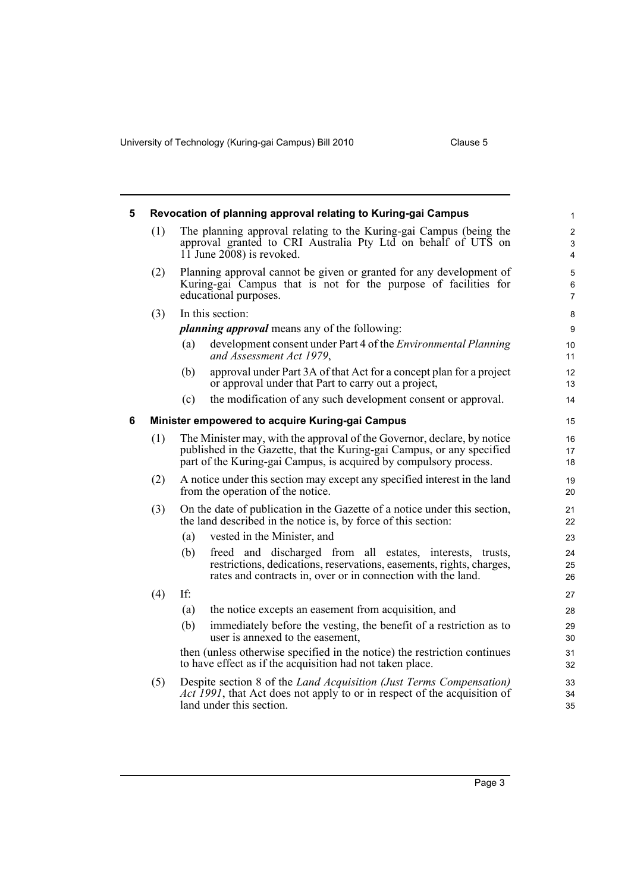University of Technology (Kuring-gai Campus) Bill 2010 Clause 5

<span id="page-6-1"></span><span id="page-6-0"></span>

| 5 |     |                                                                                                                                                                                                                        | Revocation of planning approval relating to Kuring-gai Campus                                                                                                                                     | $\mathbf{1}$     |
|---|-----|------------------------------------------------------------------------------------------------------------------------------------------------------------------------------------------------------------------------|---------------------------------------------------------------------------------------------------------------------------------------------------------------------------------------------------|------------------|
|   | (1) | The planning approval relating to the Kuring-gai Campus (being the<br>approval granted to CRI Australia Pty Ltd on behalf of UTS on<br>$11$ June 2008) is revoked.                                                     |                                                                                                                                                                                                   |                  |
|   | (2) | Planning approval cannot be given or granted for any development of<br>Kuring-gai Campus that is not for the purpose of facilities for<br>educational purposes.                                                        |                                                                                                                                                                                                   |                  |
|   | (3) |                                                                                                                                                                                                                        | In this section:                                                                                                                                                                                  | 8                |
|   |     |                                                                                                                                                                                                                        | <i>planning approval</i> means any of the following:                                                                                                                                              | $\boldsymbol{9}$ |
|   |     | (a)                                                                                                                                                                                                                    | development consent under Part 4 of the <i>Environmental Planning</i><br>and Assessment Act 1979,                                                                                                 | 10<br>11         |
|   |     | (b)                                                                                                                                                                                                                    | approval under Part 3A of that Act for a concept plan for a project<br>or approval under that Part to carry out a project,                                                                        | 12<br>13         |
|   |     | (c)                                                                                                                                                                                                                    | the modification of any such development consent or approval.                                                                                                                                     | 14               |
| 6 |     |                                                                                                                                                                                                                        | Minister empowered to acquire Kuring-gai Campus                                                                                                                                                   | 15               |
|   | (1) | The Minister may, with the approval of the Governor, declare, by notice<br>published in the Gazette, that the Kuring-gai Campus, or any specified<br>part of the Kuring-gai Campus, is acquired by compulsory process. |                                                                                                                                                                                                   |                  |
|   | (2) | A notice under this section may except any specified interest in the land<br>from the operation of the notice.                                                                                                         |                                                                                                                                                                                                   |                  |
|   | (3) |                                                                                                                                                                                                                        | On the date of publication in the Gazette of a notice under this section,<br>the land described in the notice is, by force of this section:                                                       | 21<br>22         |
|   |     | (a)                                                                                                                                                                                                                    | vested in the Minister, and                                                                                                                                                                       | 23               |
|   |     | (b)                                                                                                                                                                                                                    | freed and discharged from all estates, interests, trusts,<br>restrictions, dedications, reservations, easements, rights, charges,<br>rates and contracts in, over or in connection with the land. | 24<br>25<br>26   |
|   | (4) | If:                                                                                                                                                                                                                    |                                                                                                                                                                                                   | 27               |
|   |     | (a)                                                                                                                                                                                                                    | the notice excepts an easement from acquisition, and                                                                                                                                              | 28               |
|   |     | (b)                                                                                                                                                                                                                    | immediately before the vesting, the benefit of a restriction as to<br>user is annexed to the easement,                                                                                            | 29<br>30         |
|   |     |                                                                                                                                                                                                                        | then (unless otherwise specified in the notice) the restriction continues<br>to have effect as if the acquisition had not taken place.                                                            | 31<br>32         |
|   | (5) |                                                                                                                                                                                                                        | Despite section 8 of the <i>Land Acquisition (Just Terms Compensation)</i><br>Act 1991, that Act does not apply to or in respect of the acquisition of<br>land under this section.                | 33<br>34<br>35   |